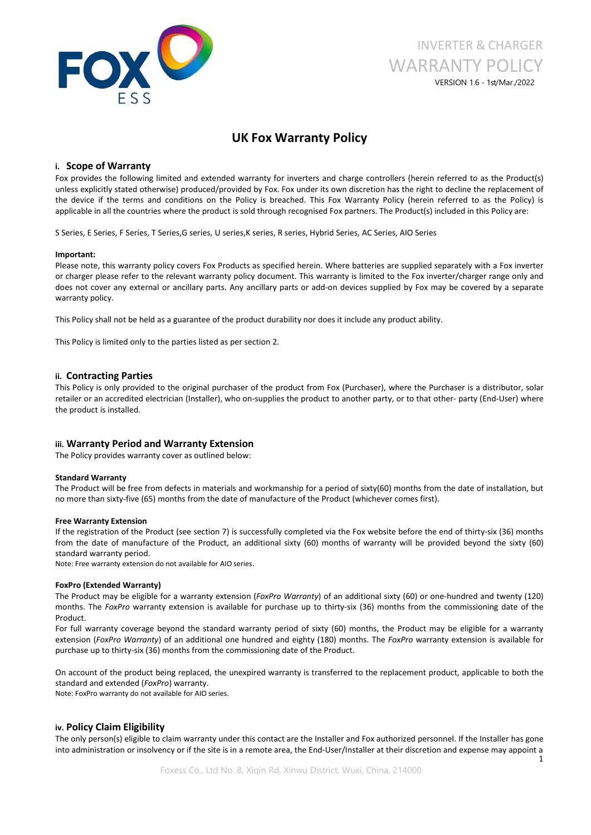

# INVERTER & CHARGER WARRANTY POLICY VERSION 1.6 - 1st/Mar./2022

# **UK FoxWarranty Policy**

# **i. Scope of Warranty**

Fox provides the following limited and extended warranty for inverters and charge controllers (herein referred to as the Product(s) unless explicitly stated otherwise) produced/provided by Fox. Fox under its own discretion has the right to decline the replacement of the device if the terms and conditions on the Policy is breached. This Fox Warranty Policy (herein referred to asthe Policy) is applicable in all the countries where the product is sold through recognised Fox partners. The Product(s) included in this Policy are:

S Series, E Series, F Series, T Series, G series, U series, K series, R series, Hybrid Series, AC Series, AIO Series

## **Important:**

Please note, this warranty policy covers Fox Products as specified herein. Where batteries are supplied separately with a Fox inverter or charger please refer to the relevant warranty policy document. This warranty is limited to the Fox inverter/charger range only and does not cover any external or ancillary parts. Any ancillary parts or add-on devices supplied by Fox may be covered by a separate warranty policy.

This Policy shall not be held as a guarantee of the product durability nor does it include any product ability.

This Policy is limited only to the parties listed as per section 2.

# **ii. Contracting Parties**

This Policy is only provided to the original purchaser of the product from Fox (Purchaser), where the Purchaser is a distributor, solar retailer or an accredited electrician (Installer), who on-supplies the product to another party, or to that other- party (End-User) where the product is installed.

# **iii. Warranty Period and Warranty Extension**

The Policy provides warranty cover as outlined below:

### **Standard Warranty**

The Product will be free from defects in materials and workmanship for a period of sixty(60) months from the date of installation, but no more than sixty-five (65) months from the date of manufacture of the Product (whichever comes first).

### **Free Warranty Extension**

If the registration of the Product (see section 7) is successfully completed via the Fox website before the end of thirty-six (36) months from the date of manufacture of the Product, an additional sixty (60) months of warranty will be provided beyond the sixty (60) standard warranty period.

Note: Free warranty extension do not available for AIO series.

### **FoxPro (Extended Warranty)**

The Product may be eligible for a warranty extension (*FoxPro Warranty*) of an additional sixty (60) or one-hundred and twenty (120) months. The *FoxPro* warranty extension is available for purchase up to thirty-six (36) months from the commissioning date of the Product.

For full warranty coverage beyond the standard warranty period of sixty (60) months, the Product may be eligible for a warranty extension (*FoxPro Warranty*) of an additional one hundred and eighty (180) months. The *FoxPro* warranty extension is available for purchase up to thirty-six (36) months from the commissioning date of the Product.

On account of the product being replaced, the unexpired warranty is transferred to the replacement product, applicable to both the standard and extended (*FoxPro*) warranty.

Note: FoxPro warranty do not available for AIO series.

# **iv. Policy Claim Eligibility**

The only person(s) eligible to claim warranty under this contact are the Installer and Fox authorized personnel. If the Installer has gone into administration or insolvency or if the site is in a remote area, the End-User/Installer at their discretion and expense may appoint a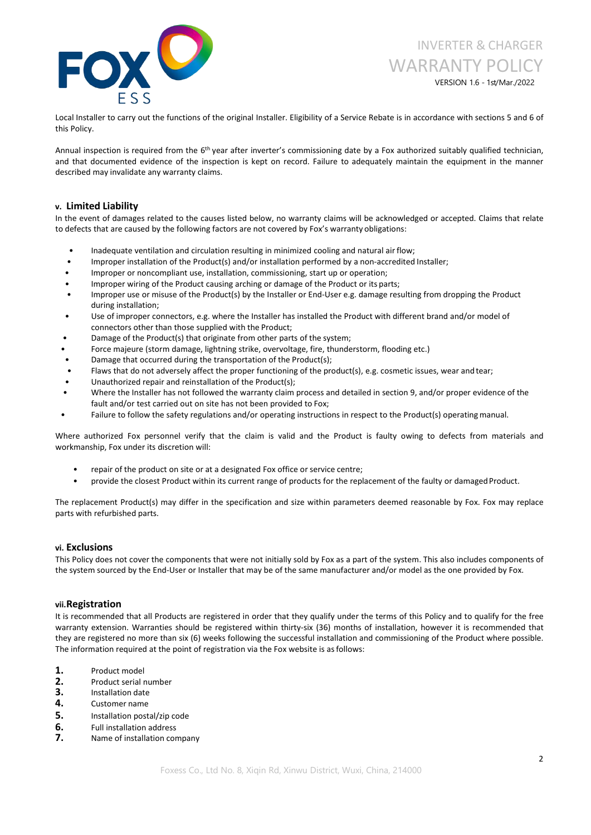

VERSION 1.6 - 1st/Mar./2022

Local Installer to carry out the functions of the original Installer. Eligibility of a Service Rebate is in accordance with sections 5 and 6 of this Policy.

Annual inspection is required from the 6<sup>th</sup> year after inverter's commissioning date by a Fox authorized suitably qualified technician, and that documented evidence of the inspection is kept on record. Failure to adequately maintain the equipment in the manner described may invalidate any warranty claims.

# **v. Limited Liability**

In the event of damages related to the causes listed below, no warranty claims will be acknowledged or accepted. Claims that relate to defects that are caused by the following factors are not covered by Fox's warranty obligations:

- Inadequate ventilation and circulation resulting in minimized cooling and natural air flow;
- Improper installation of the Product(s) and/or installation performed by a non-accredited Installer;
- Improper or noncompliant use, installation, commissioning, start up or operation;
- Improper wiring of the Product causing arching or damage of the Product or its parts;
- Improper use or misuse of the Product(s) by the Installer or End-User e.g. damage resulting from dropping the Product during installation;
- Use of improper connectors, e.g. where the Installer has installed the Product with different brand and/or model of connectors other than those supplied with the Product;
- Damage of the Product(s) that originate from other parts of the system;
- Force majeure (storm damage, lightning strike, overvoltage, fire, thunderstorm, flooding etc.)
- Damage that occurred during the transportation of the Product(s);
- Flaws that do not adversely affect the proper functioning of the product(s), e.g. cosmetic issues, wear and tear;
- Unauthorized repair and reinstallation of the Product(s);
- Where the Installer has not followed the warranty claim process and detailed in section 9, and/or proper evidence of the fault and/or test carried out on site has not been provided to Fox;
- Failure to follow the safety regulations and/or operating instructions in respect to the Product(s) operating manual.

Where authorized Fox personnel verify that the claim is valid and the Product is faulty owing to defects from materials and workmanship, Fox under its discretion will:

- repair of the product on site or at a designated Fox office or service centre;
- provide the closest Product within its current range of products for the replacement of the faulty or damaged Product.

The replacement Product(s) may differ in the specification and size within parameters deemed reasonable by Fox. Fox may replace parts with refurbished parts.

# **vi. Exclusions**

This Policy does not cover the components that were not initially sold by Fox as a part of the system. This also includes components of the system sourced by the End-User or Installer that may be of the same manufacturer and/or model as the one provided by Fox.

# **vii.Registration**

It is recommended that all Products are registered in order that they qualify under the terms of this Policy and to qualify for the free warranty extension. Warranties should be registered within thirty-six (36) months of installation, however it is recommended that they are registered no more than six (6) weeks following the successful installation and commissioning of the Product where possible. The information required at the point of registration via the Fox website is asfollows:

- 1. Product model<br>2. Product serial r
- **2.** Product serial number<br>**3.** Installation date<br>**4.** Customer name
- 
- 
- **5.** Installation postal/zip code
- **6.** Full installation address **7.** Name of installation company
-